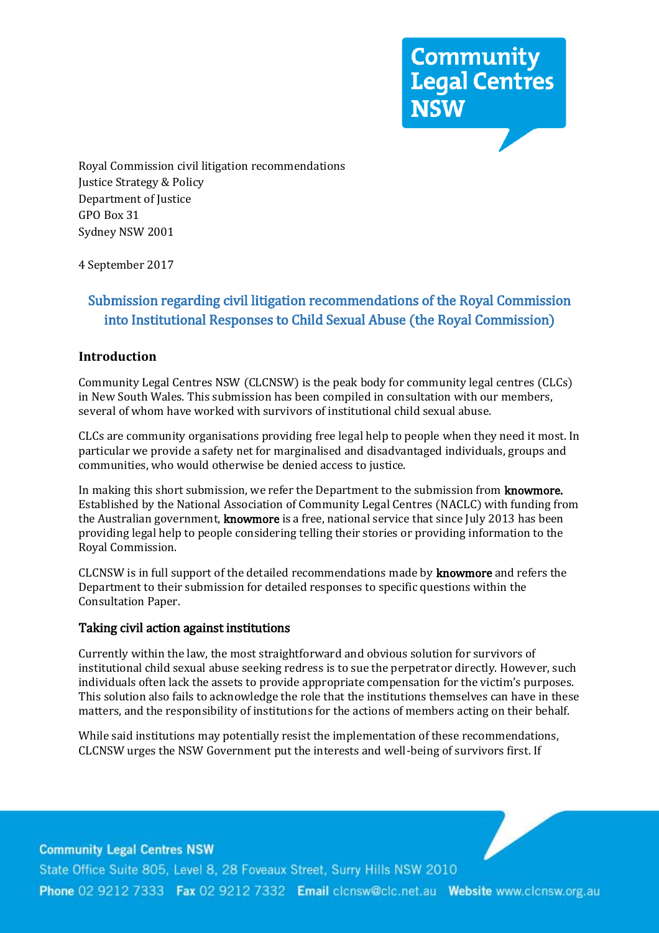**Community<br>Legal Centres<br>NSW** 

Royal Commission civil litigation recommendations Justice Strategy & Policy Department of Justice GPO Box 31 Sydney NSW 2001

4 September 2017

# Submission regarding civil litigation recommendations of the Royal Commission into Institutional Responses to Child Sexual Abuse (the Royal Commission)

### **Introduction**

Community Legal Centres NSW (CLCNSW) is the peak body for community legal centres (CLCs) in New South Wales. This submission has been compiled in consultation with our members, several of whom have worked with survivors of institutional child sexual abuse.

CLCs are community organisations providing free legal help to people when they need it most. In particular we provide a safety net for marginalised and disadvantaged individuals, groups and communities, who would otherwise be denied access to justice.

In making this short submission, we refer the Department to the submission from knowmore. Established by the National Association of Community Legal Centres (NACLC) with funding from the Australian government, **knowmore** is a free, national service that since July 2013 has been providing legal help to people considering telling their stories or providing information to the Royal Commission.

CLCNSW is in full support of the detailed recommendations made by knowmore and refers the Department to their submission for detailed responses to specific questions within the Consultation Paper.

#### Taking civil action against institutions

Currently within the law, the most straightforward and obvious solution for survivors of institutional child sexual abuse seeking redress is to sue the perpetrator directly. However, such individuals often lack the assets to provide appropriate compensation for the victim's purposes. This solution also fails to acknowledge the role that the institutions themselves can have in these matters, and the responsibility of institutions for the actions of members acting on their behalf.

While said institutions may potentially resist the implementation of these recommendations, CLCNSW urges the NSW Government put the interests and well-being of survivors first. If

**Community Legal Centres NSW** State Office Suite 805, Level 8, 28 Foveaux Street, Surry Hills NSW 2010 Phone 02 9212 7333 Fax 02 9212 7332 Email clonsw@clc.net.au Website www.clonsw.org.au